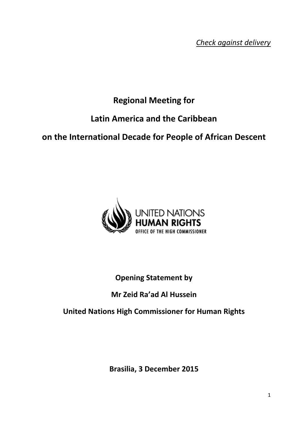*Check against delivery*

# **Regional Meeting for**

## **Latin America and the Caribbean**

## **on the International Decade for People of African Descent**



## **Opening Statement by**

#### **Mr Zeid Ra'ad Al Hussein**

#### **United Nations High Commissioner for Human Rights**

**Brasilia, 3 December 2015**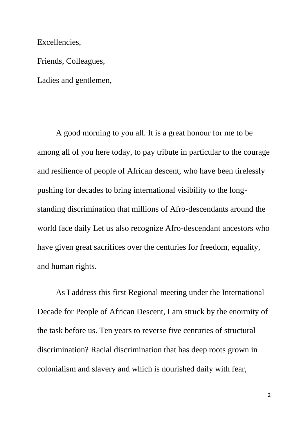Excellencies,

Friends, Colleagues,

Ladies and gentlemen,

A good morning to you all. It is a great honour for me to be among all of you here today, to pay tribute in particular to the courage and resilience of people of African descent, who have been tirelessly pushing for decades to bring international visibility to the longstanding discrimination that millions of Afro-descendants around the world face daily Let us also recognize Afro-descendant ancestors who have given great sacrifices over the centuries for freedom, equality, and human rights.

As I address this first Regional meeting under the International Decade for People of African Descent, I am struck by the enormity of the task before us. Ten years to reverse five centuries of structural discrimination? Racial discrimination that has deep roots grown in colonialism and slavery and which is nourished daily with fear,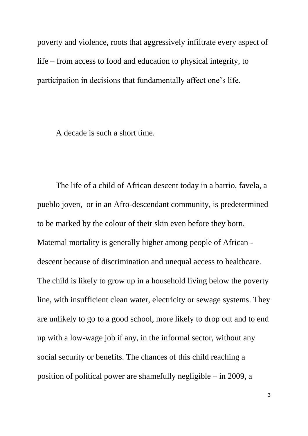poverty and violence, roots that aggressively infiltrate every aspect of life – from access to food and education to physical integrity, to participation in decisions that fundamentally affect one's life.

A decade is such a short time.

The life of a child of African descent today in a barrio, favela, a pueblo joven, or in an Afro-descendant community, is predetermined to be marked by the colour of their skin even before they born. Maternal mortality is generally higher among people of African descent because of discrimination and unequal access to healthcare. The child is likely to grow up in a household living below the poverty line, with insufficient clean water, electricity or sewage systems. They are unlikely to go to a good school, more likely to drop out and to end up with a low-wage job if any, in the informal sector, without any social security or benefits. The chances of this child reaching a position of political power are shamefully negligible – in 2009, a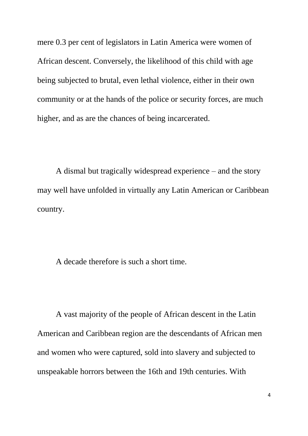mere 0.3 per cent of legislators in Latin America were women of African descent. Conversely, the likelihood of this child with age being subjected to brutal, even lethal violence, either in their own community or at the hands of the police or security forces, are much higher, and as are the chances of being incarcerated.

A dismal but tragically widespread experience – and the story may well have unfolded in virtually any Latin American or Caribbean country.

A decade therefore is such a short time.

A vast majority of the people of African descent in the Latin American and Caribbean region are the descendants of African men and women who were captured, sold into slavery and subjected to unspeakable horrors between the 16th and 19th centuries. With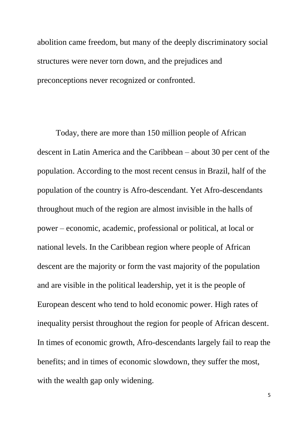abolition came freedom, but many of the deeply discriminatory social structures were never torn down, and the prejudices and preconceptions never recognized or confronted.

Today, there are more than 150 million people of African descent in Latin America and the Caribbean – about 30 per cent of the population. According to the most recent census in Brazil, half of the population of the country is Afro-descendant. Yet Afro-descendants throughout much of the region are almost invisible in the halls of power – economic, academic, professional or political, at local or national levels. In the Caribbean region where people of African descent are the majority or form the vast majority of the population and are visible in the political leadership, yet it is the people of European descent who tend to hold economic power. High rates of inequality persist throughout the region for people of African descent. In times of economic growth, Afro-descendants largely fail to reap the benefits; and in times of economic slowdown, they suffer the most, with the wealth gap only widening.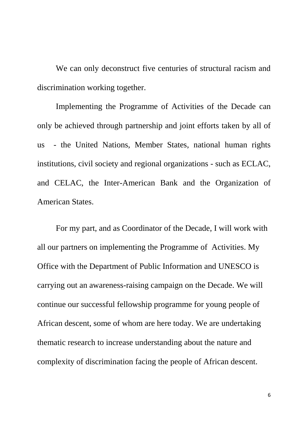We can only deconstruct five centuries of structural racism and discrimination working together.

Implementing the Programme of Activities of the Decade can only be achieved through partnership and joint efforts taken by all of us - the United Nations, Member States, national human rights institutions, civil society and regional organizations - such as ECLAC, and CELAC, the Inter-American Bank and the Organization of American States.

For my part, and as Coordinator of the Decade, I will work with all our partners on implementing the Programme of Activities. My Office with the Department of Public Information and UNESCO is carrying out an awareness-raising campaign on the Decade. We will continue our successful fellowship programme for young people of African descent, some of whom are here today. We are undertaking thematic research to increase understanding about the nature and complexity of discrimination facing the people of African descent.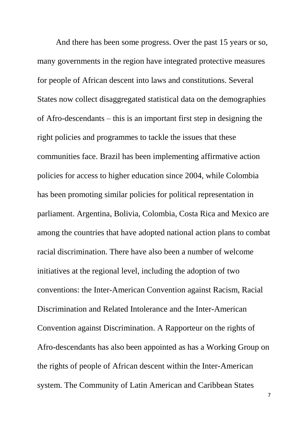And there has been some progress. Over the past 15 years or so, many governments in the region have integrated protective measures for people of African descent into laws and constitutions. Several States now collect disaggregated statistical data on the demographies of Afro-descendants – this is an important first step in designing the right policies and programmes to tackle the issues that these communities face. Brazil has been implementing affirmative action policies for access to higher education since 2004, while Colombia has been promoting similar policies for political representation in parliament. Argentina, Bolivia, Colombia, Costa Rica and Mexico are among the countries that have adopted national action plans to combat racial discrimination. There have also been a number of welcome initiatives at the regional level, including the adoption of two conventions: the Inter-American Convention against Racism, Racial Discrimination and Related Intolerance and the Inter-American Convention against Discrimination. A Rapporteur on the rights of Afro-descendants has also been appointed as has a Working Group on the rights of people of African descent within the Inter-American system. The Community of Latin American and Caribbean States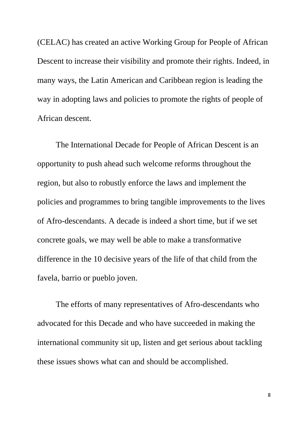(CELAC) has created an active Working Group for People of African Descent to increase their visibility and promote their rights. Indeed, in many ways, the Latin American and Caribbean region is leading the way in adopting laws and policies to promote the rights of people of African descent.

The International Decade for People of African Descent is an opportunity to push ahead such welcome reforms throughout the region, but also to robustly enforce the laws and implement the policies and programmes to bring tangible improvements to the lives of Afro-descendants. A decade is indeed a short time, but if we set concrete goals, we may well be able to make a transformative difference in the 10 decisive years of the life of that child from the favela, barrio or pueblo joven.

The efforts of many representatives of Afro-descendants who advocated for this Decade and who have succeeded in making the international community sit up, listen and get serious about tackling these issues shows what can and should be accomplished.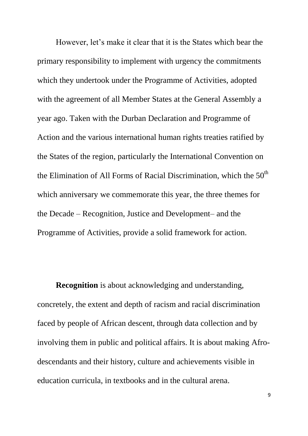However, let's make it clear that it is the States which bear the primary responsibility to implement with urgency the commitments which they undertook under the Programme of Activities, adopted with the agreement of all Member States at the General Assembly a year ago. Taken with the Durban Declaration and Programme of Action and the various international human rights treaties ratified by the States of the region, particularly the International Convention on the Elimination of All Forms of Racial Discrimination, which the  $50<sup>th</sup>$ which anniversary we commemorate this year, the three themes for the Decade – Recognition, Justice and Development– and the Programme of Activities, provide a solid framework for action.

**Recognition** is about acknowledging and understanding, concretely, the extent and depth of racism and racial discrimination faced by people of African descent, through data collection and by involving them in public and political affairs. It is about making Afrodescendants and their history, culture and achievements visible in education curricula, in textbooks and in the cultural arena.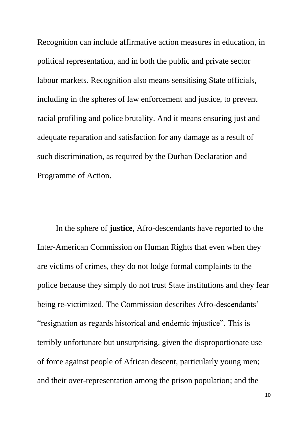Recognition can include affirmative action measures in education, in political representation, and in both the public and private sector labour markets. Recognition also means sensitising State officials, including in the spheres of law enforcement and justice, to prevent racial profiling and police brutality. And it means ensuring just and adequate reparation and satisfaction for any damage as a result of such discrimination, as required by the Durban Declaration and Programme of Action.

In the sphere of **justice**, Afro-descendants have reported to the Inter-American Commission on Human Rights that even when they are victims of crimes, they do not lodge formal complaints to the police because they simply do not trust State institutions and they fear being re-victimized. The Commission describes Afro-descendants' "resignation as regards historical and endemic injustice". This is terribly unfortunate but unsurprising, given the disproportionate use of force against people of African descent, particularly young men; and their over-representation among the prison population; and the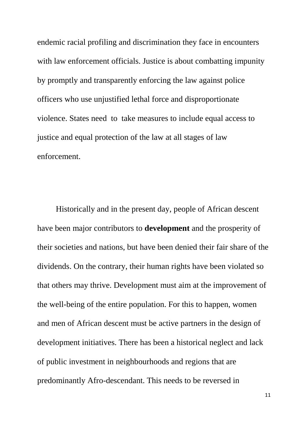endemic racial profiling and discrimination they face in encounters with law enforcement officials. Justice is about combatting impunity by promptly and transparently enforcing the law against police officers who use unjustified lethal force and disproportionate violence. States need to take measures to include equal access to justice and equal protection of the law at all stages of law enforcement.

Historically and in the present day, people of African descent have been major contributors to **development** and the prosperity of their societies and nations, but have been denied their fair share of the dividends. On the contrary, their human rights have been violated so that others may thrive. Development must aim at the improvement of the well-being of the entire population. For this to happen, women and men of African descent must be active partners in the design of development initiatives. There has been a historical neglect and lack of public investment in neighbourhoods and regions that are predominantly Afro-descendant. This needs to be reversed in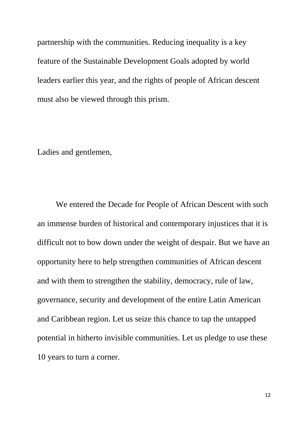partnership with the communities. Reducing inequality is a key feature of the Sustainable Development Goals adopted by world leaders earlier this year, and the rights of people of African descent must also be viewed through this prism.

Ladies and gentlemen,

We entered the Decade for People of African Descent with such an immense burden of historical and contemporary injustices that it is difficult not to bow down under the weight of despair. But we have an opportunity here to help strengthen communities of African descent and with them to strengthen the stability, democracy, rule of law, governance, security and development of the entire Latin American and Caribbean region. Let us seize this chance to tap the untapped potential in hitherto invisible communities. Let us pledge to use these 10 years to turn a corner.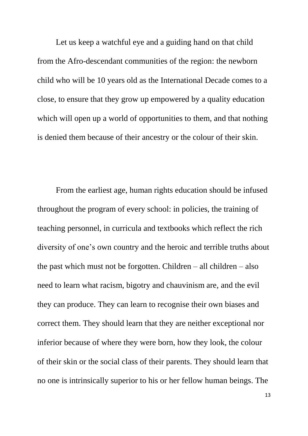Let us keep a watchful eye and a guiding hand on that child from the Afro-descendant communities of the region: the newborn child who will be 10 years old as the International Decade comes to a close, to ensure that they grow up empowered by a quality education which will open up a world of opportunities to them, and that nothing is denied them because of their ancestry or the colour of their skin.

From the earliest age, human rights education should be infused throughout the program of every school: in policies, the training of teaching personnel, in curricula and textbooks which reflect the rich diversity of one's own country and the heroic and terrible truths about the past which must not be forgotten. Children – all children – also need to learn what racism, bigotry and chauvinism are, and the evil they can produce. They can learn to recognise their own biases and correct them. They should learn that they are neither exceptional nor inferior because of where they were born, how they look, the colour of their skin or the social class of their parents. They should learn that no one is intrinsically superior to his or her fellow human beings. The